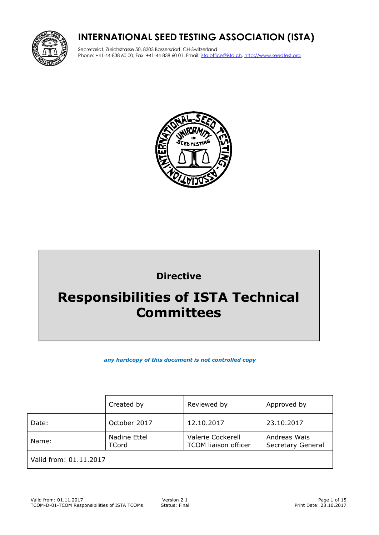

# **INTERNATIONAL SEED TESTING ASSOCIATION (ISTA)**

Secretariat, Zürichstrasse 50, 8303 Bassersdorf, CH-Switzerland Phone: +41-44-838 60 00, Fax: +41-44-838 60 01, Email: ista.office@ista.ch, http://www.seedtest.org



# **Directive**

# **Responsibilities of ISTA Technical Committees**

*any hardcopy of this document is not controlled copy*

|                        | Created by                   | Reviewed by                                      | Approved by                       |  |  |
|------------------------|------------------------------|--------------------------------------------------|-----------------------------------|--|--|
| Date:                  | October 2017                 | 12.10.2017                                       | 23.10.2017                        |  |  |
| Name:                  | Nadine Ettel<br><b>TCord</b> | Valerie Cockerell<br><b>TCOM liaison officer</b> | Andreas Wais<br>Secretary General |  |  |
| Valid from: 01.11.2017 |                              |                                                  |                                   |  |  |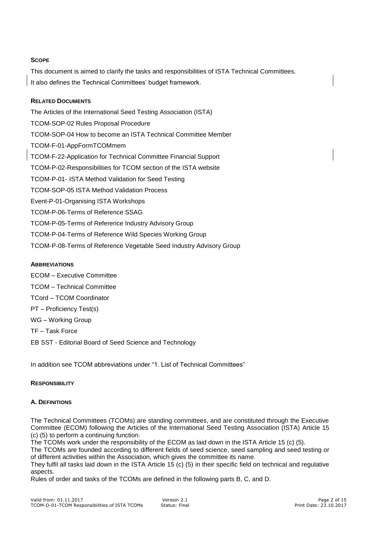# **SCOPE**

This document is aimed to clarify the tasks and responsibilities of ISTA Technical Committees. It also defines the Technical Committees' budget framework.

# **RELATED DOCUMENTS**

The Articles of the International Seed Testing Association (ISTA) TCOM-SOP-02 Rules Proposal Procedure TCOM-SOP-04 How to become an ISTA Technical Committee Member TCOM-F-01-AppFormTCOMmem TCOM-F-22-Application for Technical Committee Financial Support TCOM-P-02-Responsibilities for TCOM section of the ISTA website TCOM-P-01- ISTA Method Validation for Seed Testing TCOM-SOP-05 ISTA Method Validation Process Event-P-01-Organising ISTA Workshops TCOM-P-06-Terms of Reference SSAG TCOM-P-05-Terms of Reference Industry Advisory Group TCOM-P-04-Terms of Reference Wild Species Working Group TCOM-P-08-Terms of Reference Vegetable Seed Industry Advisory Group

# **ABBREVIATIONS**

ECOM – Executive Committee TCOM – Technical Committee TCord – TCOM Coordinator PT – Proficiency Test(s) WG – Working Group TF – Task Force EB SST - Editorial Board of Seed Science and Technology

In addition see TCOM abbreviations under "1. List of Technical Committees"

# **RESPONSIBILITY**

# **A. DEFINITIONS**

The Technical Committees (TCOMs) are standing committees, and are constituted through the Executive Committee (ECOM) following the Articles of the International Seed Testing Association (ISTA) Article 15 (c) (5) to perform a continuing function.

The TCOMs work under the responsibility of the ECOM as laid down in the ISTA Article 15 (c) (5).

The TCOMs are founded according to different fields of seed science, seed sampling and seed testing or of different activities within the Association, which gives the committee its name.

They fulfil all tasks laid down in the ISTA Article  $15$  (c) (5) in their specific field on technical and regulative aspects.

Rules of order and tasks of the TCOMs are defined in the following parts B, C, and D.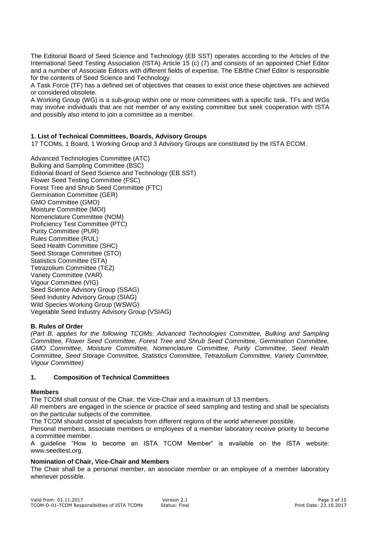The Editorial Board of Seed Science and Technology (EB SST) operates according to the Articles of the International Seed Testing Association (ISTA) Article 15 (c) (7) and consists of an appointed Chief Editor and a number of Associate Editors with different fields of expertise. The EB/the Chief Editor is responsible for the contents of Seed Science and Technology.

A Task Force (TF) has a defined set of objectives that ceases to exist once these objectives are achieved or considered obsolete.

A Working Group (WG) is a sub-group within one or more committees with a specific task. TFs and WGs may involve individuals that are not member of any existing committee but seek cooperation with ISTA and possibly also intend to join a committee as a member.

# **1. List of Technical Committees, Boards, Advisory Groups**

17 TCOMs, 1 Board, 1 Working Group and 3 Advisory Groups are constituted by the ISTA ECOM.

[Advanced Technologies Committee](http://www.seedtest.org/en/tcom-atc.html) (ATC) [Bulking and Sampling Committee](http://www.seedtest.org/en/tcom-bsc.html) (BSC) Editorial Board of Seed Science and Technology (EB SST) [Flower Seed Testing Committee](http://www.seedtest.org/en/tcom-fsc.html) (FSC) [Forest Tree and Shrub Seed Committee](http://www.seedtest.org/en/tcom-fts.html) (FTC) [Germination Committee](http://www.seedtest.org/en/tcom-ger.html) (GER) GMO Committee (GMO) [Moisture Committee](http://www.seedtest.org/en/tcom-moi.html) (MOI) [Nomenclature Committee \(](http://www.seedtest.org/en/tcom-nom.html)NOM) [Proficiency Test Committee](http://www.seedtest.org/en/tcom-ptc.html) (PTC) [Purity Committee \(PUR\)](http://www.seedtest.org/en/tcom-pur.html)  [Rules Committee](http://www.seedtest.org/en/tcom-rul.html) (RUL) [Seed Health Committee](http://www.seedtest.org/en/tcom-shc.html) (SHC) [Seed Storage Committee](http://www.seedtest.org/en/tcom-sto.html) (STO) [Statistics Committee](http://www.seedtest.org/en/tcom-sta.html) (STA) [Tetrazolium](http://www.seedtest.org/en/tcom-tez.html) Committee (TEZ) [Variety Committee](http://www.seedtest.org/en/tcom-var.html) (VAR) [Vigour Committee](http://www.seedtest.org/en/tcom-vig.html) (VIG) Seed Science Advisory Group (SSAG) Seed Industry Advisory Group (SIAG) Wild Species Working Group (WSWG) Vegetable Seed Industry Advisory Group (VSIAG)

#### **B. Rules of Order**

*(Part B. applies for the following TCOMs: Advanced Technologies Committee, Bulking and Sampling Committee, Flower Seed Committee, Forest Tree and Shrub Seed Committee, Germination Committee, [GMO Committee, M](http://www.seedtest.org/en/tcom-gmo.html)oisture Committee, Nomenclature Committee, Purity Committee, Seed Health Committee, Seed Storage Committee, Statistics Committee, Tetrazolium Committee, Variety Committee, Vigour Committee)*

#### **1. Composition of Technical Committees**

#### **Members**

The TCOM shall consist of the Chair, the Vice-Chair and a maximum of 13 members.

All members are engaged in the science or practice of seed sampling and testing and shall be specialists on the particular subjects of the committee.

The TCOM should consist of specialists from different regions of the world whenever possible.

Personal members, associate members or employees of a member laboratory receive priority to become a committee member.

A guideline "How to become an ISTA TCOM Member" is available on the ISTA website: www.seedtest.org.

### **Nomination of Chair, Vice-Chair and Members**

The Chair shall be a personal member, an associate member or an employee of a member laboratory whenever possible.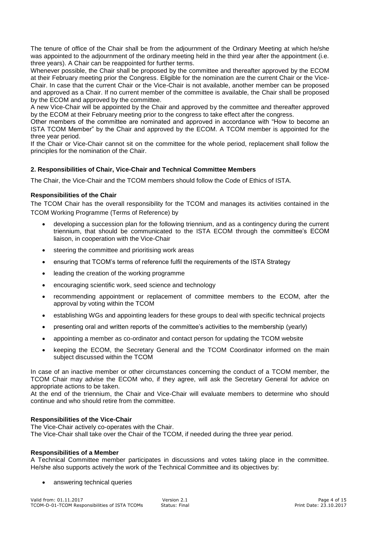The tenure of office of the Chair shall be from the adjournment of the Ordinary Meeting at which he/she was appointed to the adjournment of the ordinary meeting held in the third year after the appointment (i.e. three years). A Chair can be reappointed for further terms.

Whenever possible, the Chair shall be proposed by the committee and thereafter approved by the ECOM at their February meeting prior the Congress. Eligible for the nomination are the current Chair or the Vice-Chair. In case that the current Chair or the Vice-Chair is not available, another member can be proposed and approved as a Chair. If no current member of the committee is available, the Chair shall be proposed by the ECOM and approved by the committee.

A new Vice-Chair will be appointed by the Chair and approved by the committee and thereafter approved by the ECOM at their February meeting prior to the congress to take effect after the congress.

Other members of the committee are nominated and approved in accordance with "How to become an ISTA TCOM Member" by the Chair and approved by the ECOM. A TCOM member is appointed for the three year period.

If the Chair or Vice-Chair cannot sit on the committee for the whole period, replacement shall follow the principles for the nomination of the Chair.

# **2. Responsibilities of Chair, Vice-Chair and Technical Committee Members**

The Chair, the Vice-Chair and the TCOM members should follow the Code of Ethics of ISTA.

# **Responsibilities of the Chair**

The TCOM Chair has the overall responsibility for the TCOM and manages its activities contained in the TCOM Working Programme (Terms of Reference) by

- developing a succession plan for the following triennium, and as a contingency during the current triennium, that should be communicated to the ISTA ECOM through the committee's ECOM liaison, in cooperation with the Vice-Chair
- steering the committee and prioritising work areas
- ensuring that TCOM's terms of reference fulfil the requirements of the ISTA Strategy
- leading the creation of the working programme
- encouraging scientific work, seed science and technology
- recommending appointment or replacement of committee members to the ECOM, after the approval by voting within the TCOM
- establishing WGs and appointing leaders for these groups to deal with specific technical projects
- presenting oral and written reports of the committee's activities to the membership (yearly)
- appointing a member as co-ordinator and contact person for updating the TCOM website
- keeping the ECOM, the Secretary General and the TCOM Coordinator informed on the main subject discussed within the TCOM

In case of an inactive member or other circumstances concerning the conduct of a TCOM member, the TCOM Chair may advise the ECOM who, if they agree, will ask the Secretary General for advice on appropriate actions to be taken.

At the end of the triennium, the Chair and Vice-Chair will evaluate members to determine who should continue and who should retire from the committee.

#### **Responsibilities of the Vice-Chair**

The Vice-Chair actively co-operates with the Chair. The Vice-Chair shall take over the Chair of the TCOM, if needed during the three year period.

#### **Responsibilities of a Member**

A Technical Committee member participates in discussions and votes taking place in the committee. He/she also supports actively the work of the Technical Committee and its objectives by:

• answering technical queries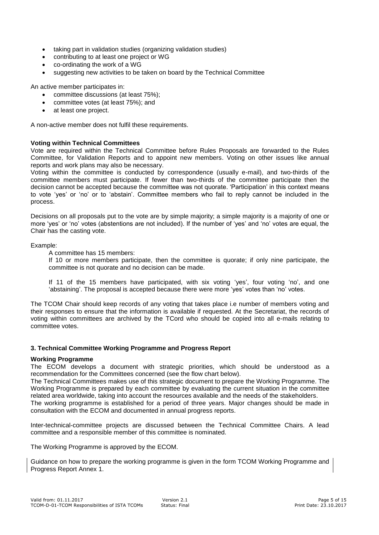- taking part in validation studies (organizing validation studies)
- contributing to at least one project or WG
- co-ordinating the work of a WG
- suggesting new activities to be taken on board by the Technical Committee

An active member participates in:

- committee discussions (at least 75%);
- committee votes (at least 75%); and
- at least one project.

A non-active member does not fulfil these requirements.

#### **Voting within Technical Committees**

Vote are required within the Technical Committee before Rules Proposals are forwarded to the Rules Committee, for Validation Reports and to appoint new members. Voting on other issues like annual reports and work plans may also be necessary.

Voting within the committee is conducted by correspondence (usually e-mail), and two-thirds of the committee members must participate. If fewer than two-thirds of the committee participate then the decision cannot be accepted because the committee was not quorate. 'Participation' in this context means to vote 'yes' or 'no' or to 'abstain'. Committee members who fail to reply cannot be included in the process.

Decisions on all proposals put to the vote are by simple majority; a simple majority is a majority of one or more 'yes' or 'no' votes (abstentions are not included). If the number of 'yes' and 'no' votes are equal, the Chair has the casting vote.

Example:

A committee has 15 members:

If 10 or more members participate, then the committee is quorate; if only nine participate, the committee is not quorate and no decision can be made.

If 11 of the 15 members have participated, with six voting 'yes', four voting 'no', and one 'abstaining'. The proposal is accepted because there were more 'yes' votes than 'no' votes.

The TCOM Chair should keep records of any voting that takes place i.e number of members voting and their responses to ensure that the information is available if requested. At the Secretariat, the records of voting within committees are archived by the TCord who should be copied into all e-mails relating to committee votes.

# **3. Technical Committee Working Programme and Progress Report**

# **Working Programme**

The ECOM develops a document with strategic priorities, which should be understood as a recommendation for the Committees concerned (see the flow chart below).

The Technical Committees makes use of this strategic document to prepare the Working Programme. The Working Programme is prepared by each committee by evaluating the current situation in the committee related area worldwide, taking into account the resources available and the needs of the stakeholders. The working programme is established for a period of three years. Major changes should be made in

consultation with the ECOM and documented in annual progress reports.

Inter-technical-committee projects are discussed between the Technical Committee Chairs. A lead committee and a responsible member of this committee is nominated.

The Working Programme is approved by the ECOM.

Guidance on how to prepare the working programme is given in the form TCOM Working Programme and Progress Report Annex 1.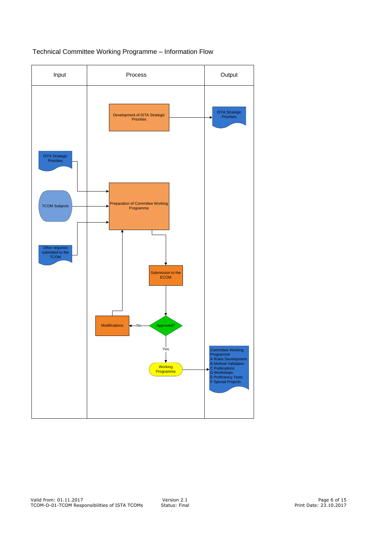

# Technical Committee Working Programme - Information Flow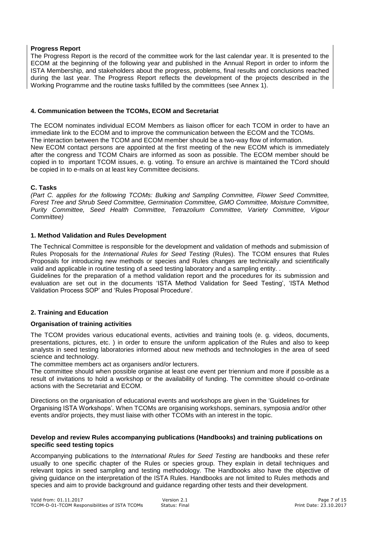# **Progress Report**

The Progress Report is the record of the committee work for the last calendar year. It is presented to the ECOM at the beginning of the following year and published in the Annual Report in order to inform the ISTA Membership, and stakeholders about the progress, problems, final results and conclusions reached during the last year. The Progress Report reflects the development of the projects described in the Working Programme and the routine tasks fulfilled by the committees (see Annex 1).

#### **4. Communication between the TCOMs, ECOM and Secretariat**

The ECOM nominates individual ECOM Members as liaison officer for each TCOM in order to have an immediate link to the ECOM and to improve the communication between the ECOM and the TCOMs. The interaction between the TCOM and ECOM member should be a two-way flow of information. New ECOM contact persons are appointed at the first meeting of the new ECOM which is immediately after the congress and TCOM Chairs are informed as soon as possible. The ECOM member should be copied in to important TCOM issues, e. g. voting. To ensure an archive is maintained the TCord should be copied in to e-mails on at least key Committee decisions.

#### **C. Tasks**

*(Part C. applies for the following TCOMs: Bulking and Sampling Committee, Flower Seed Committee, Forest Tree and Shrub Seed Committee, Germination Committee, [GMO Committee,](http://www.seedtest.org/en/tcom-gmo.html) Moisture Committee, Purity Committee, Seed Health Committee, Tetrazolium Committee, Variety Committee, Vigour Committee)*

#### **1. Method Validation and Rules Development**

The Technical Committee is responsible for the development and validation of methods and submission of Rules Proposals for the *International Rules for Seed Testing* (Rules). The TCOM ensures that Rules Proposals for introducing new methods or species and Rules changes are technically and scientifically valid and applicable in routine testing of a seed testing laboratory and a sampling entity. .

Guidelines for the preparation of a method validation report and the procedures for its submission and evaluation are set out in the documents 'ISTA Method Validation for Seed Testing', 'ISTA Method Validation Process SOP' and 'Rules Proposal Procedure'*.*

# **2. Training and Education**

#### **Organisation of training activities**

The TCOM provides various educational events, activities and training tools (e. g. videos, documents, presentations, pictures, etc. ) in order to ensure the uniform application of the Rules and also to keep analysts in seed testing laboratories informed about new methods and technologies in the area of seed science and technology.

The committee members act as organisers and/or lecturers.

The committee should when possible organise at least one event per triennium and more if possible as a result of invitations to hold a workshop or the availability of funding. The committee should co-ordinate actions with the Secretariat and ECOM.

Directions on the organisation of educational events and workshops are given in the 'Guidelines for Organising ISTA Workshops'*.* When TCOMs are organising workshops, seminars, symposia and/or other events and/or projects, they must liaise with other TCOMs with an interest in the topic.

#### **Develop and review Rules accompanying publications (Handbooks) and training publications on specific seed testing topics**

Accompanying publications to the *International Rules for Seed Testing* are handbooks and these refer usually to one specific chapter of the Rules or species group. They explain in detail techniques and relevant topics in seed sampling and testing methodology. The Handbooks also have the objective of giving guidance on the interpretation of the ISTA Rules. Handbooks are not limited to Rules methods and species and aim to provide background and guidance regarding other tests and their development.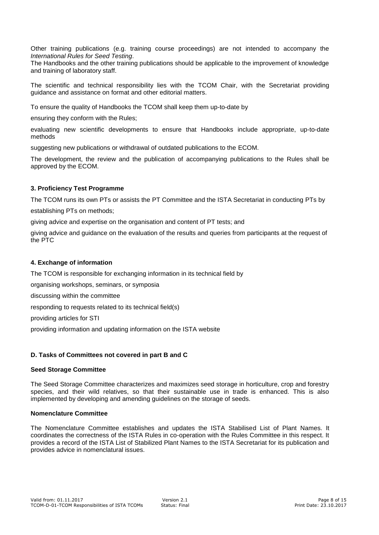Other training publications (e.g. training course proceedings) are not intended to accompany the *International Rules for Seed Testing*.

The Handbooks and the other training publications should be applicable to the improvement of knowledge and training of laboratory staff.

The scientific and technical responsibility lies with the TCOM Chair, with the Secretariat providing guidance and assistance on format and other editorial matters.

To ensure the quality of Handbooks the TCOM shall keep them up-to-date by

ensuring they conform with the Rules;

evaluating new scientific developments to ensure that Handbooks include appropriate, up-to-date methods

suggesting new publications or withdrawal of outdated publications to the ECOM.

The development, the review and the publication of accompanying publications to the Rules shall be approved by the ECOM.

# **3. Proficiency Test Programme**

The TCOM runs its own PTs or assists the PT Committee and the ISTA Secretariat in conducting PTs by

establishing PTs on methods;

giving advice and expertise on the organisation and content of PT tests; and

giving advice and guidance on the evaluation of the results and queries from participants at the request of the PTC

#### **4. Exchange of information**

The TCOM is responsible for exchanging information in its technical field by

organising workshops, seminars, or symposia

discussing within the committee

responding to requests related to its technical field(s)

providing articles for STI

providing information and updating information on the ISTA website

# **D. Tasks of Committees not covered in part B and C**

# **Seed Storage Committee**

The Seed Storage Committee characterizes and maximizes seed storage in horticulture, crop and forestry species, and their wild relatives, so that their sustainable use in trade is enhanced. This is also implemented by developing and amending guidelines on the storage of seeds.

## **Nomenclature Committee**

The Nomenclature Committee establishes and updates the ISTA Stabilised List of Plant Names. It coordinates the correctness of the ISTA Rules in co-operation with the Rules Committee in this respect. It provides a record of the ISTA List of Stabilized Plant Names to the ISTA Secretariat for its publication and provides advice in nomenclatural issues.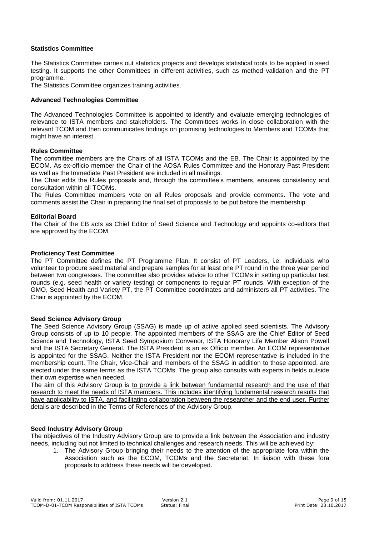# **Statistics Committee**

The Statistics Committee carries out statistics projects and develops statistical tools to be applied in seed testing. It supports the other Committees in different activities, such as method validation and the PT programme.

The Statistics Committee organizes training activities.

#### **Advanced Technologies Committee**

The Advanced Technologies Committee is appointed to identify and evaluate emerging technologies of relevance to ISTA members and stakeholders. The Committees works in close collaboration with the relevant TCOM and then communicates findings on promising technologies to Members and TCOMs that might have an interest.

#### **Rules Committee**

The committee members are the Chairs of all ISTA TCOMs and the EB. The Chair is appointed by the ECOM. As ex-officio member the Chair of the AOSA Rules Committee and the Honorary Past President as well as the Immediate Past President are included in all mailings.

The Chair edits the Rules proposals and, through the committee's members, ensures consistency and consultation within all TCOMs.

The Rules Committee members vote on all Rules proposals and provide comments. The vote and comments assist the Chair in preparing the final set of proposals to be put before the membership.

#### **Editorial Board**

The Chair of the EB acts as Chief Editor of Seed Science and Technology and appoints co-editors that are approved by the ECOM.

#### **Proficiency Test Committee**

The PT Committee defines the PT Programme Plan. It consist of PT Leaders, i.e. individuals who volunteer to procure seed material and prepare samples for at least one PT round in the three year period between two congresses. The committee also provides advice to other TCOMs in setting up particular test rounds (e.g. seed health or variety testing) or components to regular PT rounds. With exception of the GMO, Seed Health and Variety PT, the PT Committee coordinates and administers all PT activities. The Chair is appointed by the ECOM.

#### **Seed Science Advisory Group**

The Seed Science Advisory Group (SSAG) is made up of active applied seed scientists. The Advisory Group consists of up to 10 people. The appointed members of the SSAG are the Chief Editor of Seed Science and Technology, ISTA Seed Symposium Convenor, ISTA Honorary Life Member Alison Powell and the ISTA Secretary General. The ISTA President is an ex Officio member. An ECOM representative is appointed for the SSAG. Neither the ISTA President nor the ECOM representative is included in the membership count. The Chair, Vice-Chair and members of the SSAG in addition to those appointed, are elected under the same terms as the ISTA TCOMs. The group also consults with experts in fields outside their own expertise when needed.

The aim of this Advisory Group is to provide a link between fundamental research and the use of that research to meet the needs of ISTA members. This includes identifying fundamental research results that have applicability to ISTA, and facilitating collaboration between the researcher and the end user. Further details are described in the Terms of References of the Advisory Group.

# **Seed Industry Advisory Group**

The objectives of the Industry Advisory Group are to provide a link between the Association and industry needs, including but not limited to technical challenges and research needs. This will be achieved by:

1. The Advisory Group bringing their needs to the attention of the appropriate fora within the Association such as the ECOM, TCOMs and the Secretariat. In liaison with these fora proposals to address these needs will be developed.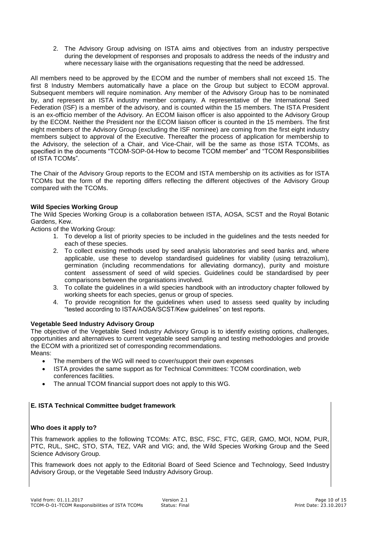2. The Advisory Group advising on ISTA aims and objectives from an industry perspective during the development of responses and proposals to address the needs of the industry and where necessary liaise with the organisations requesting that the need be addressed.

All members need to be approved by the ECOM and the number of members shall not exceed 15. The first 8 Industry Members automatically have a place on the Group but subject to ECOM approval. Subsequent members will require nomination. Any member of the Advisory Group has to be nominated by, and represent an ISTA industry member company. A representative of the International Seed Federation (ISF) is a member of the advisory, and is counted within the 15 members. The ISTA President is an ex-officio member of the Advisory. An ECOM liaison officer is also appointed to the Advisory Group by the ECOM. Neither the President nor the ECOM liaison officer is counted in the 15 members. The first eight members of the Advisory Group (excluding the ISF nominee) are coming from the first eight industry members subject to approval of the Executive. Thereafter the process of application for membership to the Advisory, the selection of a Chair, and Vice-Chair, will be the same as those ISTA TCOMs, as specified in the documents "TCOM-SOP-04-How to become TCOM member" and "TCOM Responsibilities of ISTA TCOMs".

The Chair of the Advisory Group reports to the ECOM and ISTA membership on its activities as for ISTA TCOMs but the form of the reporting differs reflecting the different objectives of the Advisory Group compared with the TCOMs.

# **Wild Species Working Group**

The Wild Species Working Group is a collaboration between ISTA, AOSA, SCST and the Royal Botanic Gardens, Kew.

Actions of the Working Group:

- 1. To develop a list of priority species to be included in the guidelines and the tests needed for each of these species.
- 2. To collect existing methods used by seed analysis laboratories and seed banks and, where applicable, use these to develop standardised guidelines for viability (using tetrazolium), germination (including recommendations for alleviating dormancy), purity and moisture content assessment of seed of wild species. Guidelines could be standardised by peer comparisons between the organisations involved.
- 3. To collate the guidelines in a wild species handbook with an introductory chapter followed by working sheets for each species, genus or group of species.
- 4. To provide recognition for the guidelines when used to assess seed quality by including "tested according to ISTA/AOSA/SCST/Kew guidelines" on test reports.

# **Vegetable Seed Industry Advisory Group**

The objective of the Vegetable Seed Industry Advisory Group is to identify existing options, challenges, opportunities and alternatives to current vegetable seed sampling and testing methodologies and provide the ECOM with a prioritized set of corresponding recommendations. Means:

- The members of the WG will need to cover/support their own expenses
- ISTA provides the same support as for Technical Committees: TCOM coordination, web conferences facilities.
- The annual TCOM financial support does not apply to this WG.

# **E. ISTA Technical Committee budget framework**

# **Who does it apply to?**

This framework applies to the following TCOMs: ATC, BSC, FSC, FTC, GER, GMO, MOI, NOM, PUR, PTC, RUL, SHC, STO, STA, TEZ, VAR and VIG; and, the Wild Species Working Group and the Seed Science Advisory Group.

This framework does not apply to the Editorial Board of Seed Science and Technology, Seed Industry Advisory Group, or the Vegetable Seed Industry Advisory Group.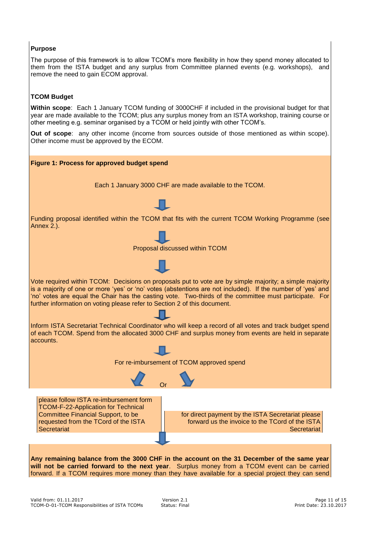# **Purpose**

The purpose of this framework is to allow TCOM's more flexibility in how they spend money allocated to them from the ISTA budget and any surplus from Committee planned events (e.g. workshops), and remove the need to gain ECOM approval.

# **TCOM Budget**

**Within scope**: Each 1 January TCOM funding of 3000CHF if included in the provisional budget for that year are made available to the TCOM; plus any surplus money from an ISTA workshop, training course or other meeting e.g. seminar organised by a TCOM or held jointly with other TCOM's.

**Out of scope**: any other income (income from sources outside of those mentioned as within scope). Other income must be approved by the ECOM.

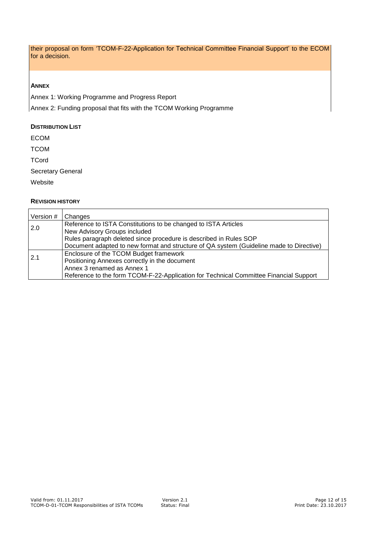their proposal on form 'TCOM-F-22-Application for Technical Committee Financial Support' to the ECOM for a decision.

# **ANNEX**

Annex 1: Working Programme and Progress Report

Annex 2: Funding proposal that fits with the TCOM Working Programme

# **DISTRIBUTION LIST**

ECOM

**TCOM** 

**TCord** 

Secretary General

Website

# **REVISION HISTORY**

| Version # | Changes                                                                                 |
|-----------|-----------------------------------------------------------------------------------------|
| 2.0       | Reference to ISTA Constitutions to be changed to ISTA Articles                          |
|           | New Advisory Groups included                                                            |
|           | Rules paragraph deleted since procedure is described in Rules SOP                       |
|           | Document adapted to new format and structure of QA system (Guideline made to Directive) |
| 2.1       | Enclosure of the TCOM Budget framework                                                  |
|           | Positioning Annexes correctly in the document                                           |
|           | Annex 3 renamed as Annex 1                                                              |
|           | Reference to the form TCOM-F-22-Application for Technical Committee Financial Support   |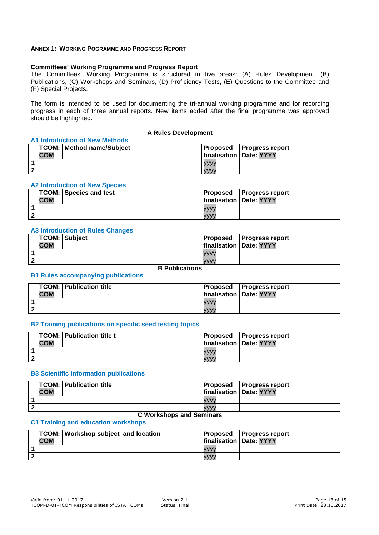#### **ANNEX 1: WORKING POGRAMME AND PROGRESS REPORT**

# **Committees' Working Programme and Progress Report**

The Committees' Working Programme is structured in five areas: (A) Rules Development, (B) Publications, (C) Workshops and Seminars, (D) Proficiency Tests, (E) Questions to the Committee and (F) Special Projects.

The form is intended to be used for documenting the tri-annual working programme and for recording progress in each of three annual reports. New items added after the final programme was approved should be highlighted.

# **A Rules Development**

|   | <b>A1 Introduction of New Methods</b> |                             |  |                                 |  |  |  |
|---|---------------------------------------|-----------------------------|--|---------------------------------|--|--|--|
|   |                                       | TCOM:   Method name/Subject |  | <b>Proposed Progress report</b> |  |  |  |
|   | <b>COM</b>                            |                             |  | finalisation   Date: YYYY       |  |  |  |
|   |                                       |                             |  |                                 |  |  |  |
| 2 |                                       |                             |  |                                 |  |  |  |

#### **A2 Introduction of New Species**

| <b>TCOM: Species and test</b><br><b>COM</b> |             | <b>Proposed</b> Progress report<br>finalisation   Date: YYYY |
|---------------------------------------------|-------------|--------------------------------------------------------------|
|                                             | <b>VVVV</b> |                                                              |
|                                             | <b>VVVV</b> |                                                              |

#### **A3 Introduction of Rules Changes**

|              | TCOM: Subject<br><b>COM</b> |             | <b>Proposed Progress report</b><br>finalisation   Date: YYYY |
|--------------|-----------------------------|-------------|--------------------------------------------------------------|
|              |                             | <b>VVVV</b> |                                                              |
| $\mathbf{2}$ |                             | <b>VVVV</b> |                                                              |

# **B Publications**

#### **B1 Rules accompanying publications**

|                | <b>TCOM: Publication title</b><br><b>COM</b> | <b>Proposed Progress report</b><br>finalisation   Date: YYYY |  |
|----------------|----------------------------------------------|--------------------------------------------------------------|--|
|                |                                              | <b>VVVV</b>                                                  |  |
| $\overline{2}$ |                                              | <b>VVVV</b>                                                  |  |

#### **B2 Training publications on specific seed testing topics**

|                | <b>TCOM: Publication title t</b><br><b>COM</b> |             | <b>Proposed</b> Progress report<br>  finalisation   Date: YYYY |
|----------------|------------------------------------------------|-------------|----------------------------------------------------------------|
|                |                                                | <b>VVVV</b> |                                                                |
| $\overline{2}$ |                                                | <b>VVVV</b> |                                                                |

#### **B3 Scientific information publications**

|              | <b>TCOM: Publication title</b><br><b>COM</b> | finalisation   Date: YYYY | <b>Proposed Progress report</b> |
|--------------|----------------------------------------------|---------------------------|---------------------------------|
|              |                                              | <b>VVVV</b>               |                                 |
| $\mathbf{2}$ |                                              | <b>VVVV</b>               |                                 |

# **C Workshops and Seminars**

#### **C1 Training and education workshops**

|                | <b>COM</b> | TCOM: Workshop subject and location |             | <b>Proposed Progress report</b><br>finalisation   Date: YYYY |
|----------------|------------|-------------------------------------|-------------|--------------------------------------------------------------|
|                |            |                                     |             |                                                              |
| $\overline{2}$ |            |                                     | <b>VVVV</b> |                                                              |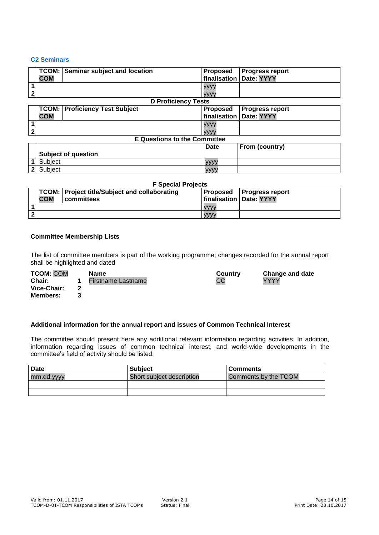# **C2 Seminars**

|              | <b>TCOM:</b> | <b>Seminar subject and location</b> | <b>Proposed</b> | <b>Progress report</b> |
|--------------|--------------|-------------------------------------|-----------------|------------------------|
|              | <b>COM</b>   |                                     | finalisation    | Date: YYYY             |
|              |              |                                     | yyyy            |                        |
| $\mathbf{2}$ |              |                                     | <b>VVVV</b>     |                        |
|              |              | <b>D Proficiency Tests</b>          |                 |                        |
|              | <b>TCOM:</b> | <b>Proficiency Test Subject</b>     | <b>Proposed</b> | <b>Progress report</b> |
|              | <b>COM</b>   |                                     | finalisation    | Date: YYYY             |
|              |              |                                     | <b>YYYY</b>     |                        |
| $\mathbf{c}$ |              |                                     | <b>VVVV</b>     |                        |
|              |              | <b>E</b> Questions to the Committee |                 |                        |
|              |              |                                     | Date            | From (country)         |
|              |              | <b>Subject of question</b>          |                 |                        |
|              | Subject      |                                     | <b>VVVV</b>     |                        |
| $\mathbf{2}$ | Subject      |                                     | уууу            |                        |

|                | <b>F</b> Special Projects                                                        |            |             |                           |  |  |  |  |
|----------------|----------------------------------------------------------------------------------|------------|-------------|---------------------------|--|--|--|--|
|                | TCOM: Project title/Subject and collaborating<br><b>Proposed Progress report</b> |            |             |                           |  |  |  |  |
|                | <b>COM</b>                                                                       | committees |             | finalisation   Date: YYYY |  |  |  |  |
|                |                                                                                  |            | vvvv        |                           |  |  |  |  |
| $\overline{2}$ |                                                                                  |            | <b>VVVV</b> |                           |  |  |  |  |

#### **Committee Membership Lists**

The list of committee members is part of the working programme; changes recorded for the annual report shall be highlighted and dated

| <b>TCOM: COM</b> | <b>Name</b>        | Country | Change and date |
|------------------|--------------------|---------|-----------------|
| <b>Chair:</b>    | Firstname Lastname | CС      | YYYY            |
| Vice-Chair:      |                    |         |                 |
| <b>Members:</b>  |                    |         |                 |

#### **Additional information for the annual report and issues of Common Technical Interest**

The committee should present here any additional relevant information regarding activities. In addition, information regarding issues of common technical interest, and world-wide developments in the committee's field of activity should be listed.

| <b>Date</b> | <b>Subject</b>            | <b>Comments</b>      |
|-------------|---------------------------|----------------------|
| mm.dd.yyyy  | Short subject description | Comments by the TCOM |
|             |                           |                      |
|             |                           |                      |